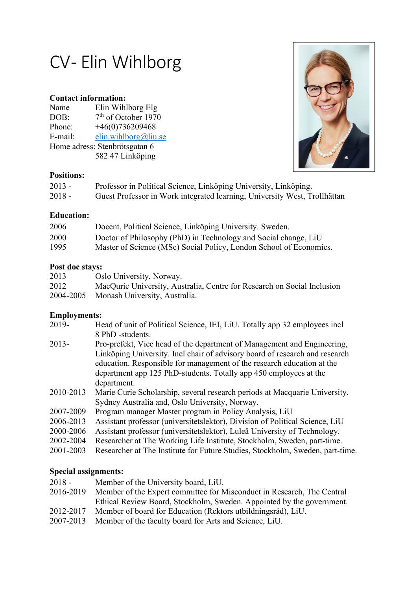# CV-Elin Wihlborg

## **Contact information:**

| Name                          | Elin Wihlborg Elg               |
|-------------------------------|---------------------------------|
| DOB:                          | 7 <sup>th</sup> of October 1970 |
| Phone:                        | $+46(0)736209468$               |
| E-mail:                       | elin.wihlborg@liu.se            |
| Home adress: Stenbrötsgatan 6 |                                 |
|                               | 582 47 Linköping                |



## **Positions:**

| $2013 -$ | Professor in Political Science, Linköping University, Linköping.          |
|----------|---------------------------------------------------------------------------|
| $2018 -$ | Guest Professor in Work integrated learning, University West, Trollhättan |

## **Education:**

| 2006 | Docent, Political Science, Linköping University. Sweden.           |
|------|--------------------------------------------------------------------|
| 2000 | Doctor of Philosophy (PhD) in Technology and Social change, LiU    |
| 1995 | Master of Science (MSc) Social Policy, London School of Economics. |

## **Post doc stays:**

| 2013 | Oslo University, Norway.                                                |
|------|-------------------------------------------------------------------------|
| 2012 | MacQurie University, Australia, Centre for Research on Social Inclusion |
|      | 2004-2005 Monash University, Australia.                                 |

## **Employments:**

| Head of unit of Political Science, IEI, LiU. Totally app 32 employees incl                                                                                                                                                                                                                            |
|-------------------------------------------------------------------------------------------------------------------------------------------------------------------------------------------------------------------------------------------------------------------------------------------------------|
| 8 PhD -students.                                                                                                                                                                                                                                                                                      |
| Pro-prefekt, Vice head of the department of Management and Engineering,<br>Linköping University. Incl chair of advisory board of research and research<br>education. Responsible for management of the research education at the<br>department app 125 PhD-students. Totally app 450 employees at the |
| department.                                                                                                                                                                                                                                                                                           |
| Marie Curie Scholarship, several research periods at Macquarie University,                                                                                                                                                                                                                            |
| Sydney Australia and, Oslo University, Norway.                                                                                                                                                                                                                                                        |
| Program manager Master program in Policy Analysis, LiU                                                                                                                                                                                                                                                |
| Assistant professor (universitetslektor), Division of Political Science, LiU                                                                                                                                                                                                                          |
| Assistant professor (universitetslektor), Luleå University of Technology.                                                                                                                                                                                                                             |
| Researcher at The Working Life Institute, Stockholm, Sweden, part-time.                                                                                                                                                                                                                               |
| Researcher at The Institute for Future Studies, Stockholm, Sweden, part-time.                                                                                                                                                                                                                         |
|                                                                                                                                                                                                                                                                                                       |

## **Special assignments:**

| $2018 -$  | Member of the University board, LiU.                                   |
|-----------|------------------------------------------------------------------------|
| 2016-2019 | Member of the Expert committee for Misconduct in Research, The Central |
|           | Ethical Review Board, Stockholm, Sweden. Appointed by the government.  |
| 2012-2017 | Member of board for Education (Rektors utbildningsråd), LiU.           |
| 2007-2013 | Member of the faculty board for Arts and Science, LiU.                 |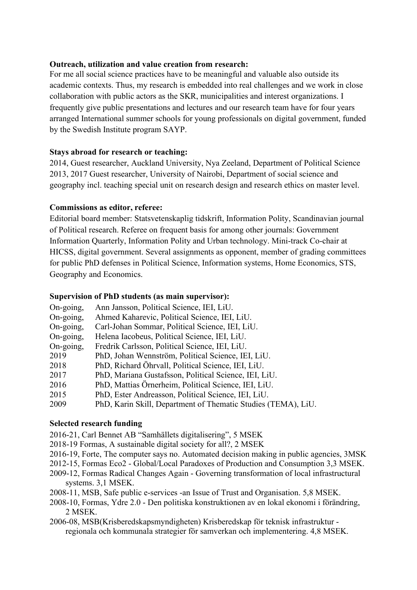#### **Outreach, utilization and value creation from research:**

For me all social science practices have to be meaningful and valuable also outside its academic contexts. Thus, my research is embedded into real challenges and we work in close collaboration with public actors as the SKR, municipalities and interest organizations. I frequently give public presentations and lectures and our research team have for four years arranged International summer schools for young professionals on digital government, funded by the Swedish Institute program SAYP.

#### **Stays abroad for research or teaching:**

2014, Guest researcher, Auckland University, Nya Zeeland, Department of Political Science 2013, 2017 Guest researcher, University of Nairobi, Department of social science and geography incl. teaching special unit on research design and research ethics on master level.

#### **Commissions as editor, referee:**

Editorial board member: Statsvetenskaplig tidskrift, Information Polity, Scandinavian journal of Political research. Referee on frequent basis for among other journals: Government Information Quarterly, Information Polity and Urban technology. Mini-track Co-chair at HICSS, digital government. Several assignments as opponent, member of grading committees for public PhD defenses in Political Science, Information systems, Home Economics, STS, Geography and Economics.

#### **Supervision of PhD students (as main supervisor):**

| On-going, | Ann Jansson, Political Science, IEI, LiU.                     |
|-----------|---------------------------------------------------------------|
| On-going, | Ahmed Kaharevic, Political Science, IEI, LiU.                 |
| On-going, | Carl-Johan Sommar, Political Science, IEI, LiU.               |
| On-going, | Helena Iacobeus, Political Science, IEI, LiU.                 |
| On-going, | Fredrik Carlsson, Political Science, IEI, LiU.                |
| 2019      | PhD, Johan Wennström, Political Science, IEI, LiU.            |
| 2018      | PhD, Richard Öhrvall, Political Science, IEI, LiU.            |
| 2017      | PhD, Mariana Gustafsson, Political Science, IEI, LiU.         |
| 2016      | PhD, Mattias Örnerheim, Political Science, IEI, LiU.          |
| 2015      | PhD, Ester Andreasson, Political Science, IEI, LiU.           |
| 2009      | PhD, Karin Skill, Department of Thematic Studies (TEMA), LiU. |
|           |                                                               |

#### **Selected research funding**

- 2016-21, Carl Bennet AB "Samhällets digitalisering", 5 MSEK
- 2018-19 Formas, A sustainable digital society for all?, 2 MSEK
- 2016-19, Forte, The computer says no. Automated decision making in public agencies, 3MSK

2012-15, Formas Eco2 - Global/Local Paradoxes of Production and Consumption 3,3 MSEK.

- 2009-12, Formas Radical Changes Again Governing transformation of local infrastructural systems. 3,1 MSEK.
- 2008-11, MSB, Safe public e-services -an Issue of Trust and Organisation. 5,8 MSEK.
- 2008-10, Formas, Ydre 2.0 Den politiska konstruktionen av en lokal ekonomi i förändring, 2 MSEK.
- 2006-08, MSB(Krisberedskapsmyndigheten) Krisberedskap för teknisk infrastruktur regionala och kommunala strategier för samverkan och implementering. 4,8 MSEK.